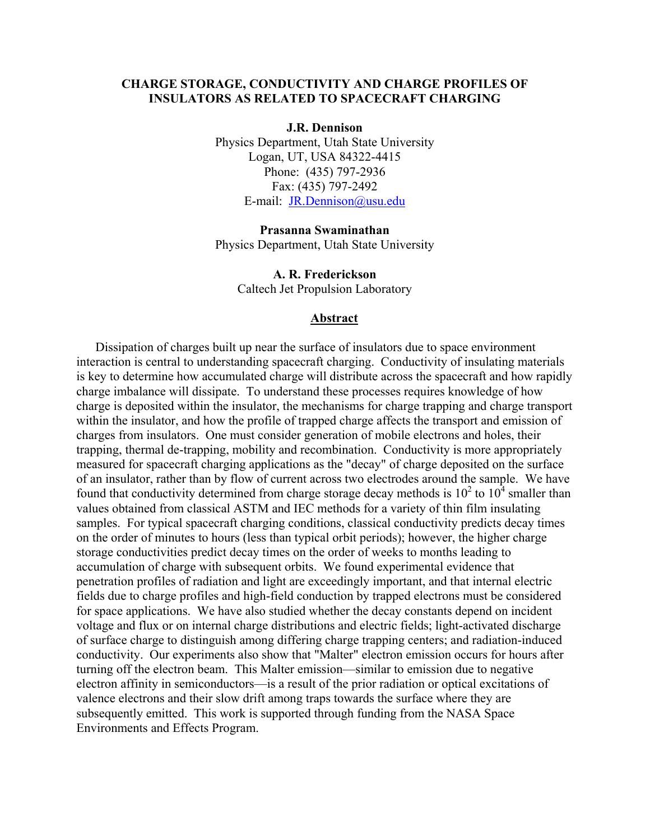# **CHARGE STORAGE, CONDUCTIVITY AND CHARGE PROFILES OF INSULATORS AS RELATED TO SPACECRAFT CHARGING**

**J.R. Dennison** 

Physics Department, Utah State University Logan, UT, USA 84322-4415 Phone: (435) 797-2936 Fax: (435) 797-2492 E-mail: [JR.Dennison@usu.edu](mailto:JR.Dennison@usu.edu)

**Prasanna Swaminathan**  Physics Department, Utah State University

> **A. R. Frederickson**  Caltech Jet Propulsion Laboratory

#### **Abstract**

Dissipation of charges built up near the surface of insulators due to space environment interaction is central to understanding spacecraft charging. Conductivity of insulating materials is key to determine how accumulated charge will distribute across the spacecraft and how rapidly charge imbalance will dissipate. To understand these processes requires knowledge of how charge is deposited within the insulator, the mechanisms for charge trapping and charge transport within the insulator, and how the profile of trapped charge affects the transport and emission of charges from insulators. One must consider generation of mobile electrons and holes, their trapping, thermal de-trapping, mobility and recombination. Conductivity is more appropriately measured for spacecraft charging applications as the "decay" of charge deposited on the surface of an insulator, rather than by flow of current across two electrodes around the sample. We have found that conductivity determined from charge storage decay methods is  $10^2$  to  $10^4$  smaller than values obtained from classical ASTM and IEC methods for a variety of thin film insulating samples. For typical spacecraft charging conditions, classical conductivity predicts decay times on the order of minutes to hours (less than typical orbit periods); however, the higher charge storage conductivities predict decay times on the order of weeks to months leading to accumulation of charge with subsequent orbits. We found experimental evidence that penetration profiles of radiation and light are exceedingly important, and that internal electric fields due to charge profiles and high-field conduction by trapped electrons must be considered for space applications. We have also studied whether the decay constants depend on incident voltage and flux or on internal charge distributions and electric fields; light-activated discharge of surface charge to distinguish among differing charge trapping centers; and radiation-induced conductivity. Our experiments also show that "Malter" electron emission occurs for hours after turning off the electron beam. This Malter emission—similar to emission due to negative electron affinity in semiconductors—is a result of the prior radiation or optical excitations of valence electrons and their slow drift among traps towards the surface where they are subsequently emitted. This work is supported through funding from the NASA Space Environments and Effects Program.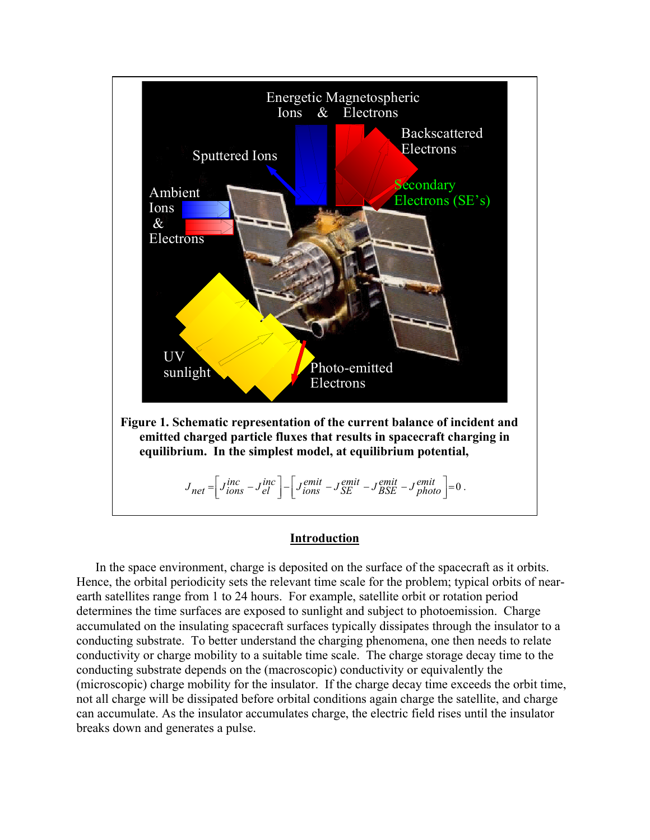

### **Introduction**

In the space environment, charge is deposited on the surface of the spacecraft as it orbits. Hence, the orbital periodicity sets the relevant time scale for the problem; typical orbits of nearearth satellites range from 1 to 24 hours. For example, satellite orbit or rotation period determines the time surfaces are exposed to sunlight and subject to photoemission. Charge accumulated on the insulating spacecraft surfaces typically dissipates through the insulator to a conducting substrate. To better understand the charging phenomena, one then needs to relate conductivity or charge mobility to a suitable time scale. The charge storage decay time to the conducting substrate depends on the (macroscopic) conductivity or equivalently the (microscopic) charge mobility for the insulator. If the charge decay time exceeds the orbit time, not all charge will be dissipated before orbital conditions again charge the satellite, and charge can accumulate. As the insulator accumulates charge, the electric field rises until the insulator breaks down and generates a pulse.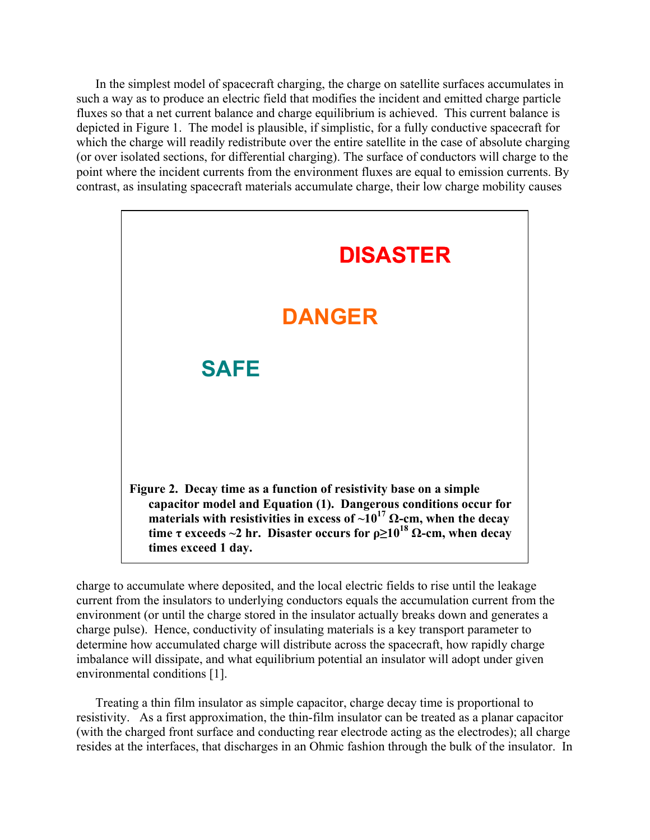In the simplest model of spacecraft charging, the charge on satellite surfaces accumulates in such a way as to produce an electric field that modifies the incident and emitted charge particle fluxes so that a net current balance and charge equilibrium is achieved. This current balance is depicted in Figure 1. The model is plausible, if simplistic, for a fully conductive spacecraft for which the charge will readily redistribute over the entire satellite in the case of absolute charging (or over isolated sections, for differential charging). The surface of conductors will charge to the point where the incident currents from the environment fluxes are equal to emission currents. By contrast, as insulating spacecraft materials accumulate charge, their low charge mobility causes



charge to accumulate where deposited, and the local electric fields to rise until the leakage current from the insulators to underlying conductors equals the accumulation current from the environment (or until the charge stored in the insulator actually breaks down and generates a charge pulse). Hence, conductivity of insulating materials is a key transport parameter to determine how accumulated charge will distribute across the spacecraft, how rapidly charge imbalance will dissipate, and what equilibrium potential an insulator will adopt under given environmental conditions [1].

Treating a thin film insulator as simple capacitor, charge decay time is proportional to resistivity. As a first approximation, the thin-film insulator can be treated as a planar capacitor (with the charged front surface and conducting rear electrode acting as the electrodes); all charge resides at the interfaces, that discharges in an Ohmic fashion through the bulk of the insulator. In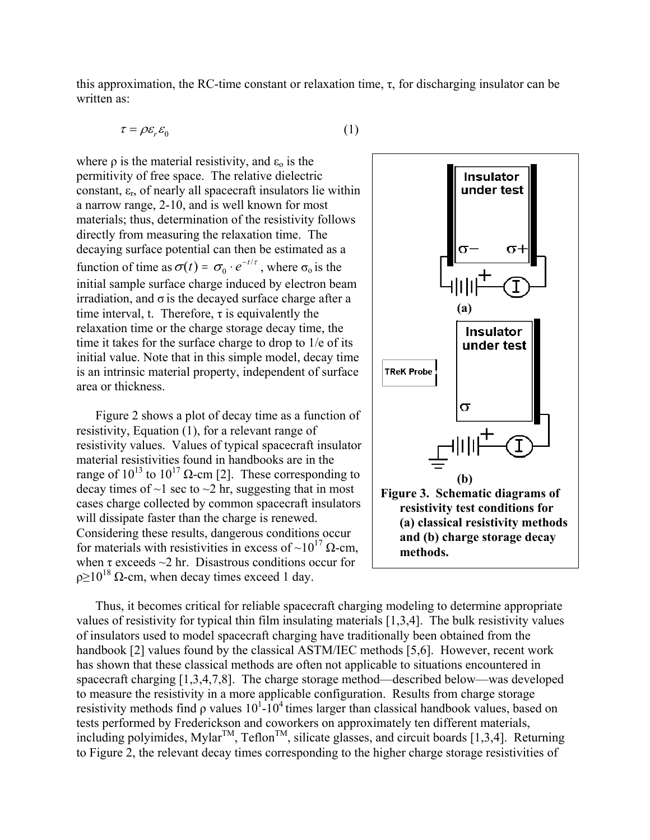this approximation, the RC-time constant or relaxation time,  $\tau$ , for discharging insulator can be written as:

$$
\tau = \rho \varepsilon_r \varepsilon_0 \tag{1}
$$

where  $\rho$  is the material resistivity, and  $\varepsilon_0$  is the permitivity of free space. The relative dielectric constant,  $\varepsilon_r$ , of nearly all spacecraft insulators lie within a narrow range, 2-10, and is well known for most materials; thus, determination of the resistivity follows directly from measuring the relaxation time. The decaying surface potential can then be estimated as a function of time as  $\sigma(t) = \sigma_0 \cdot e^{-t/\tau}$ , where  $\sigma_0$  is the initial sample surface charge induced by electron beam irradiation, and  $\sigma$  is the decaved surface charge after a time interval, t. Therefore,  $\tau$  is equivalently the relaxation time or the charge storage decay time, the time it takes for the surface charge to drop to 1/e of its initial value. Note that in this simple model, decay time is an intrinsic material property, independent of surface area or thickness.

Figure 2 shows a plot of decay time as a function of resistivity, Equation (1), for a relevant range of resistivity values. Values of typical spacecraft insulator material resistivities found in handbooks are in the range of  $10^{13}$  to  $10^{17}$  Ω-cm [2]. These corresponding to decay times of  $\sim$ 1 sec to  $\sim$ 2 hr, suggesting that in most cases charge collected by common spacecraft insulators will dissipate faster than the charge is renewed. Considering these results, dangerous conditions occur for materials with resistivities in excess of ~10<sup>17</sup>  $\Omega$ -cm, when  $\tau$  exceeds  $\sim$ 2 hr. Disastrous conditions occur for  $\rho \geq 10^{18} \Omega$ -cm, when decay times exceed 1 day.



Thus, it becomes critical for reliable spacecraft charging modeling to determine appropriate values of resistivity for typical thin film insulating materials [1,3,4]. The bulk resistivity values of insulators used to model spacecraft charging have traditionally been obtained from the handbook [2] values found by the classical ASTM/IEC methods [5,6]. However, recent work has shown that these classical methods are often not applicable to situations encountered in spacecraft charging [1,3,4,7,8]. The charge storage method—described below—was developed to measure the resistivity in a more applicable configuration. Results from charge storage resistivity methods find  $\rho$  values  $10^{1}$ - $10^{4}$  times larger than classical handbook values, based on tests performed by Frederickson and coworkers on approximately ten different materials, including polyimides, Mylar<sup>TM</sup>, Teflon<sup>TM</sup>, silicate glasses, and circuit boards [1,3,4]. Returning to Figure 2, the relevant decay times corresponding to the higher charge storage resistivities of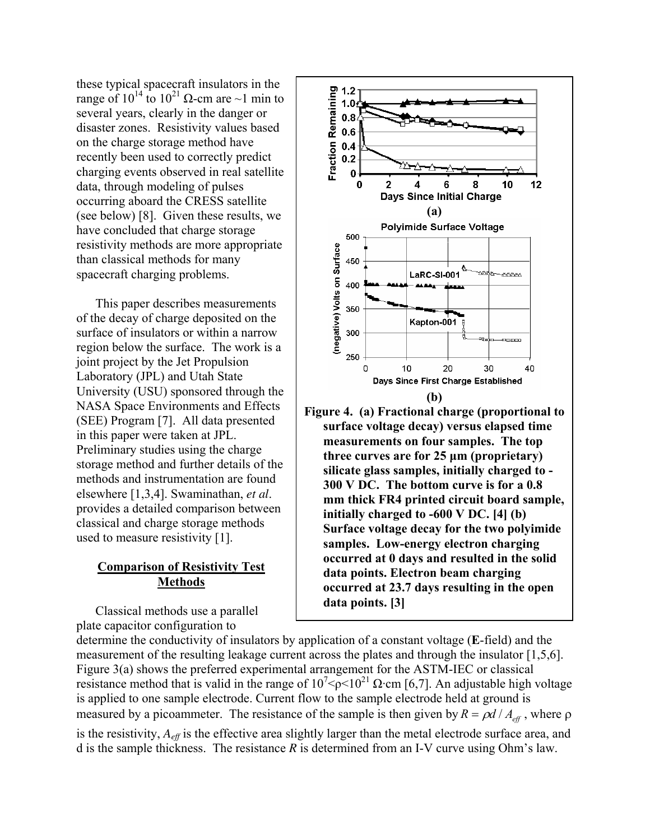these typical spacecraft insulators in the range of  $10^{14}$  to  $10^{21}$  Ω-cm are ~1 min to several years, clearly in the danger or disaster zones. Resistivity values based on the charge storage method have recently been used to correctly predict charging events observed in real satellite data, through modeling of pulses occurring aboard the CRESS satellite (see below) [8]. Given these results, we have concluded that charge storage resistivity methods are more appropriate than classical methods for many spacecraft charging problems.

This paper describes measurements of the decay of charge deposited on the surface of insulators or within a narrow region below the surface. The work is a joint project by the Jet Propulsion Laboratory (JPL) and Utah State University (USU) sponsored through the NASA Space Environments and Effects (SEE) Program [7]. All data presented in this paper were taken at JPL. Preliminary studies using the charge storage method and further details of the methods and instrumentation are found elsewhere [1,3,4]. Swaminathan, *et al*. provides a detailed comparison between classical and charge storage methods used to measure resistivity [1].

# **Comparison of Resistivity Test Methods**

Classical methods use a parallel plate capacitor configuration to



**300 V DC. The bottom curve is for a 0.8 mm thick FR4 printed circuit board sample, initially charged to -600 V DC. [4] (b) Surface voltage decay for the two polyimide samples. Low-energy electron charging occurred at 0 days and resulted in the solid data points. Electron beam charging occurred at 23.7 days resulting in the open data points. [3]** 

determine the conductivity of insulators by application of a constant voltage (**E**-field) and the measurement of the resulting leakage current across the plates and through the insulator [1,5 ,6]. Figure 3(a) shows the preferred experimental arrangement for the ASTM-IEC or classical resistance method that is valid in the range of  $10^{7}$  ( $\phi$  < 10<sup>21</sup>  $\Omega$  cm [6,7]. An adjustable high voltage is applied to one sample electrode. Current flow to the sample electrode held at ground i s measured by a picoammeter. The resistance of the sample is then given by  $R = \rho d / A_{\text{eff}}$ , where  $\rho$ is the resistivity,  $A_{\text{eff}}$  is the effective area slightly larger than the metal electrode surface area, and d is the sample thickness. The resistance *R* is determined from an I-V curve using Ohm's law.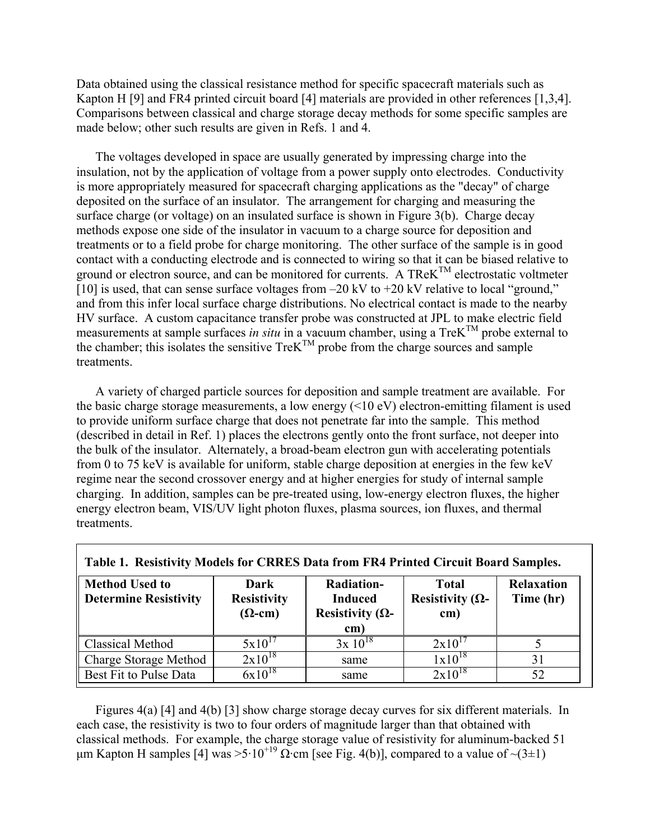Data obtained using the classical resistance method for specific spacecraft materials such as Kapton H [9] and FR4 printed circuit board [4] materials are provided in other references [1,3,4]. Comparisons between classical and charge storage decay methods for some specific samples are made below; other such results are given in Refs. 1 and 4.

The voltages developed in space are usually generated by impressing charge into the insulation, not by the application of voltage from a power supply onto electrodes. Conductivity is more appropriately measured for spacecraft charging applications as the "decay" of charge deposited on the surface of an insulator. The arrangement for charging and measuring the surface charge (or voltage) on an insulated surface is shown in Figure 3(b). Charge decay methods expose one side of the insulator in vacuum to a charge source for deposition and treatments or to a field probe for charge monitoring. The other surface of the sample is in good contact with a conducting electrode and is connected to wiring so that it can be biased relative to ground or electron source, and can be monitored for currents. A TRe $K^{TM}$  electrostatic voltmeter [10] is used, that can sense surface voltages from –20 kV to +20 kV relative to local "ground," and from this infer local surface charge distributions. No electrical contact is made to the nearby HV surface. A custom capacitance transfer probe was constructed at JPL to make electric field measurements at sample surfaces *in situ* in a vacuum chamber, using a TreK<sup>TM</sup> probe external to the chamber; this isolates the sensitive  $TreK^{TM}$  probe from the charge sources and sample treatments.

A variety of charged particle sources for deposition and sample treatment are available. For the basic charge storage measurements, a low energy  $(\leq 10 \text{ eV})$  electron-emitting filament is used to provide uniform surface charge that does not penetrate far into the sample. This method (described in detail in Ref. 1) places the electrons gently onto the front surface, not deeper into the bulk of the insulator. Alternately, a broad-beam electron gun with accelerating potentials from 0 to 75 keV is available for uniform, stable charge deposition at energies in the few keV regime near the second crossover energy and at higher energies for study of internal sample charging. In addition, samples can be pre-treated using, low-energy electron fluxes, the higher energy electron beam, VIS/UV light photon fluxes, plasma sources, ion fluxes, and thermal treatments.

| Table 1. Resistivity models for CRRES Data from FR4 I finted Circuit Doard Samples. |                                              |                                                                        |                                                 |                                |
|-------------------------------------------------------------------------------------|----------------------------------------------|------------------------------------------------------------------------|-------------------------------------------------|--------------------------------|
| <b>Method Used to</b><br><b>Determine Resistivity</b>                               | Dark<br><b>Resistivity</b><br>$(\Omega$ -cm) | <b>Radiation-</b><br><b>Induced</b><br>Resistivity ( $\Omega$ -<br>cm) | <b>Total</b><br>Resistivity ( $\Omega$ -<br>cm) | <b>Relaxation</b><br>Time (hr) |
| <b>Classical Method</b>                                                             | $5x10^{1}$                                   | $3x 10^{18}$                                                           | $2x10^1$                                        |                                |
| Charge Storage Method                                                               | $2x10^{18}$                                  | same                                                                   | $1x10^{18}$                                     | 31                             |
| Best Fit to Pulse Data                                                              | $6x10^{18}$                                  | same                                                                   | $2x10^{18}$                                     | 52                             |

**Table 1. Resistivity Models for CRRES Data from FR4 Printed Circuit Board Samples.** 

Figures 4(a) [4] and 4(b) [3] show charge storage decay curves for six different materials. In each case, the resistivity is two to four orders of magnitude larger than that obtained with classical methods. For example, the charge storage value of resistivity for aluminum-backed 51  $\mu$ m Kapton H samples [4] was >5·10<sup>+19</sup>  $\Omega$ ·cm [see Fig. 4(b)], compared to a value of ~(3±1)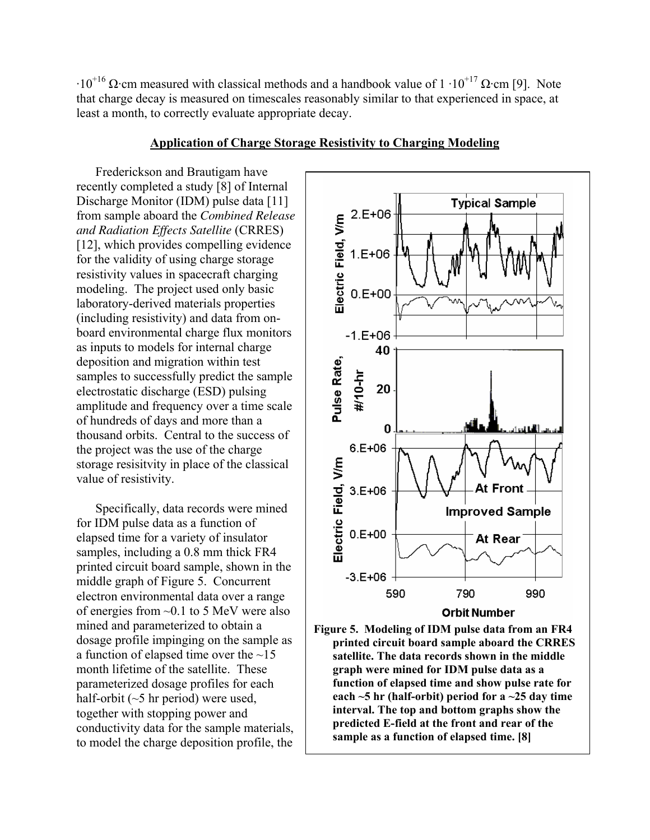$\cdot10^{+16}$  Ω·cm measured with classical methods and a handbook value of  $1 \cdot 10^{+17}$  Ω·cm [9]. Note that charge decay is measured on timescales reasonably similar to that experienced in space, at least a month, to correctly evaluate appropriate decay.

Frederickson and Brautigam have recently completed a study [8] of Internal Discharge Monitor (IDM) pulse data [11] from sample aboard the *Combined Release and Radiation Effects Satellite* (CRRES) [12], which provides compelling evidence for the validity of using charge storage resistivity values in spacecraft charging modeling. The project used only basic laboratory-derived materials properties (including resistivity) and data from onboard environmental charge flux monitors as inputs to models for internal charge deposition and migration within test samples to successfully predict the sample electrostatic discharge (ESD) pulsing amplitude and frequency over a time scale of hundreds of days and more than a thousand orbits. Central to the success of the project was the use of the charge storage resisitvity in place of the classical value of resistivity.

**Application of Charge Storage Resistivity to Charging Modeling**

Specifically, data records were mined for IDM pulse data as a function of elapsed time for a variety of insulator samples, including a 0.8 mm thick FR4 printed circuit board sample, shown in the middle graph of Figure 5. Concurrent electron environmental data over a range of energies from ~0.1 to 5 MeV were also mined and parameterized to obtain a dosage profile impinging on the sample as a function of elapsed time over the  $\sim$ 15 month lifetime of the satellite. These parameterized dosage profiles for each half-orbit  $(\sim 5$  hr period) were used, together with stopping power and conductivity data for the sample materials, to model the charge deposition profile, the



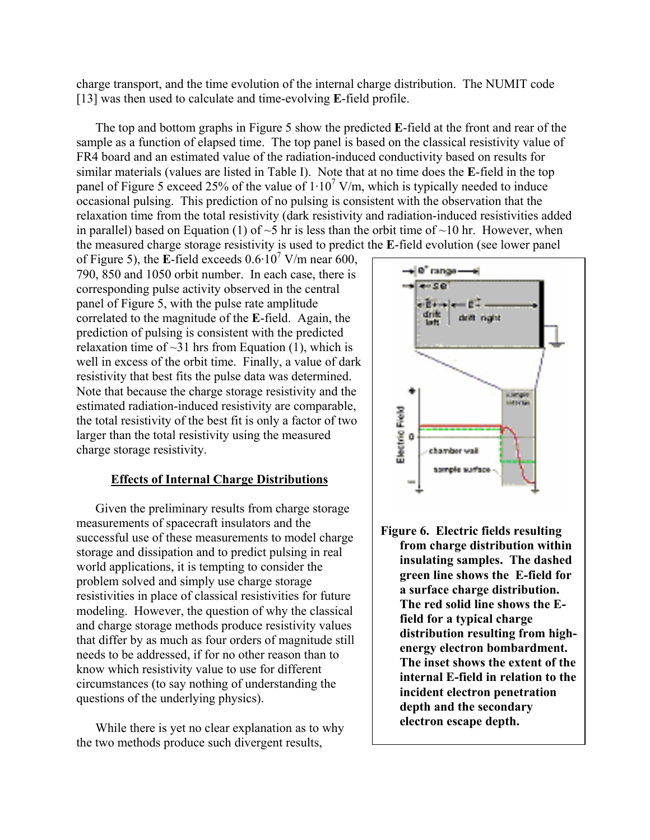charge transport, and the time evolution of the internal charge distribution. The NUMIT code [13] was then used to calculate and time-evolving **E**-field profile.

The top and bottom graphs in Figure 5 show the predicted **E**-field at the front and rear of the sample as a function of elapsed time. The top panel is based on the classical resistivity value of FR4 board and an estimated value of the radiation-induced conductivity based on results for similar materials (values are listed in Table I). Note that at no time does the **E**-field in the top panel of Figure 5 exceed 25% of the value of  $1 \cdot 10^7$  V/m, which is typically needed to induce occasional pulsing. This prediction of no pulsing is consistent with the observation that the relaxation time from the total resistivity (dark resistivity and radiation-induced resistivities added in parallel) based on Equation (1) of  $\sim$ 5 hr is less than the orbit time of  $\sim$ 10 hr. However, when the measured charge storage resistivity is used to predict the **E**-field evolution (see lower panel

of Figure 5), the **E**-field exceeds  $0.6 \cdot 10^7$  V/m near 600, 790, 850 and 1050 orbit number. In each case, there is corresponding pulse activity observed in the central panel of Figure 5, with the pulse rate amplitude correlated to the magnitude of the **E**-field. Again, the prediction of pulsing is consistent with the predicted relaxation time of  $\sim$ 31 hrs from Equation (1), which is well in excess of the orbit time. Finally, a value of dark resistivity that best fits the pulse data was determined. Note that because the charge storage resistivity and the estimated radiation-induced resistivity are comparable, the total resistivity of the best fit is only a factor of two larger than the total resistivity using the measured charge storage resistivity.

## **Effects of Internal Charge Distributions**

Given the preliminary results from charge storage measurements of spacecraft insulators and the successful use of these measurements to model charge storage and dissipation and to predict pulsing in real world applications, it is tempting to consider the problem solved and simply use charge storage resistivities in place of classical resistivities for future modeling. However, the question of why the classical and charge storage methods produce resistivity values that differ by as much as four orders of magnitude still needs to be addressed, if for no other reason than to know which resistivity value to use for different circumstances (to say nothing of understanding the questions of the underlying physics).

While there is yet no clear explanation as to why the two methods produce such divergent results,



**Figure 6. Electric fields resulting from charge distribution within insulating samples. The dashed green line shows the E-field for a surface charge distribution. The red solid line shows the Efield for a typical charge distribution resulting from highenergy electron bombardment. The inset shows the extent of the internal E-field in relation to the incident electron penetration depth and the secondary electron escape depth.**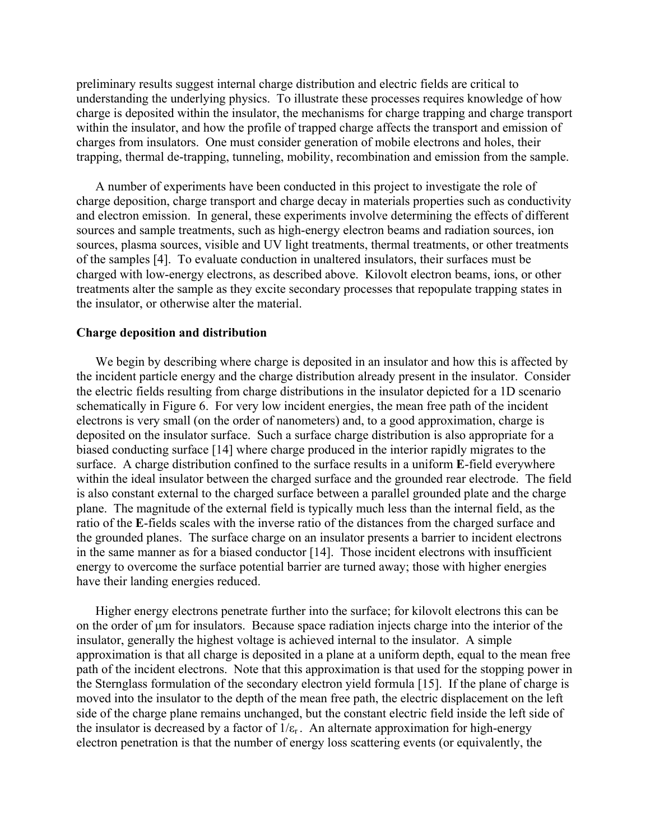preliminary results suggest internal charge distribution and electric fields are critical to understanding the underlying physics. To illustrate these processes requires knowledge of how charge is deposited within the insulator, the mechanisms for charge trapping and charge transport within the insulator, and how the profile of trapped charge affects the transport and emission of charges from insulators. One must consider generation of mobile electrons and holes, their trapping, thermal de-trapping, tunneling, mobility, recombination and emission from the sample.

A number of experiments have been conducted in this project to investigate the role of charge deposition, charge transport and charge decay in materials properties such as conductivity and electron emission. In general, these experiments involve determining the effects of different sources and sample treatments, such as high-energy electron beams and radiation sources, ion sources, plasma sources, visible and UV light treatments, thermal treatments, or other treatments of the samples [4]. To evaluate conduction in unaltered insulators, their surfaces must be charged with low-energy electrons, as described above. Kilovolt electron beams, ions, or other treatments alter the sample as they excite secondary processes that repopulate trapping states in the insulator, or otherwise alter the material.

### **Charge deposition and distribution**

We begin by describing where charge is deposited in an insulator and how this is affected by the incident particle energy and the charge distribution already present in the insulator. Consider the electric fields resulting from charge distributions in the insulator depicted for a 1D scenario schematically in Figure 6. For very low incident energies, the mean free path of the incident electrons is very small (on the order of nanometers) and, to a good approximation, charge is deposited on the insulator surface. Such a surface charge distribution is also appropriate for a biased conducting surface [14] where charge produced in the interior rapidly migrates to the surface. A charge distribution confined to the surface results in a uniform **E**-field everywhere within the ideal insulator between the charged surface and the grounded rear electrode. The field is also constant external to the charged surface between a parallel grounded plate and the charge plane. The magnitude of the external field is typically much less than the internal field, as the ratio of the **E**-fields scales with the inverse ratio of the distances from the charged surface and the grounded planes. The surface charge on an insulator presents a barrier to incident electrons in the same manner as for a biased conductor [14]. Those incident electrons with insufficient energy to overcome the surface potential barrier are turned away; those with higher energies have their landing energies reduced.

Higher energy electrons penetrate further into the surface; for kilovolt electrons this can be on the order of um for insulators. Because space radiation injects charge into the interior of the insulator, generally the highest voltage is achieved internal to the insulator. A simple approximation is that all charge is deposited in a plane at a uniform depth, equal to the mean free path of the incident electrons. Note that this approximation is that used for the stopping power in the Sternglass formulation of the secondary electron yield formula [15]. If the plane of charge is moved into the insulator to the depth of the mean free path, the electric displacement on the left side of the charge plane remains unchanged, but the constant electric field inside the left side of the insulator is decreased by a factor of  $1/\varepsilon_r$ . An alternate approximation for high-energy electron penetration is that the number of energy loss scattering events (or equivalently, the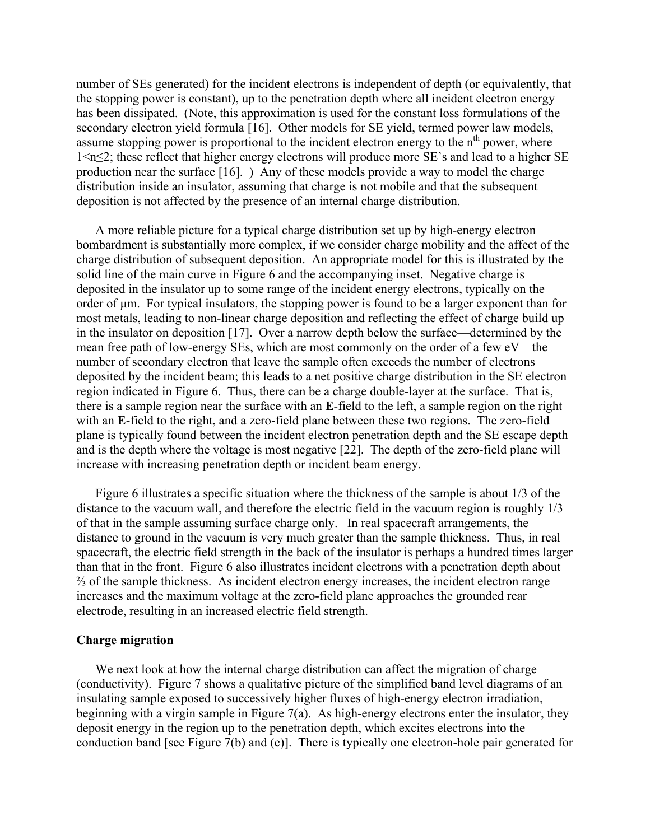number of SEs generated) for the incident electrons is independent of depth (or equivalently, that the stopping power is constant), up to the penetration depth where all incident electron energy has been dissipated. (Note, this approximation is used for the constant loss formulations of the secondary electron yield formula [16]. Other models for SE yield, termed power law models, assume stopping power is proportional to the incident electron energy to the  $n<sup>th</sup>$  power, where 1<n≤2; these reflect that higher energy electrons will produce more SE's and lead to a higher SE production near the surface [16]. ) Any of these models provide a way to model the charge distribution inside an insulator, assuming that charge is not mobile and that the subsequent deposition is not affected by the presence of an internal charge distribution.

A more reliable picture for a typical charge distribution set up by high-energy electron bombardment is substantially more complex, if we consider charge mobility and the affect of the charge distribution of subsequent deposition. An appropriate model for this is illustrated by the solid line of the main curve in Figure 6 and the accompanying inset. Negative charge is deposited in the insulator up to some range of the incident energy electrons, typically on the order of  $\mu$ m. For typical insulators, the stopping power is found to be a larger exponent than for most metals, leading to non-linear charge deposition and reflecting the effect of charge build up in the insulator on deposition [17]. Over a narrow depth below the surface—determined by the mean free path of low-energy SEs, which are most commonly on the order of a few eV—the number of secondary electron that leave the sample often exceeds the number of electrons deposited by the incident beam; this leads to a net positive charge distribution in the SE electron region indicated in Figure 6. Thus, there can be a charge double-layer at the surface. That is, there is a sample region near the surface with an **E**-field to the left, a sample region on the right with an **E**-field to the right, and a zero-field plane between these two regions. The zero-field plane is typically found between the incident electron penetration depth and the SE escape depth and is the depth where the voltage is most negative [22]. The depth of the zero-field plane will increase with increasing penetration depth or incident beam energy.

Figure 6 illustrates a specific situation where the thickness of the sample is about 1/3 of the distance to the vacuum wall, and therefore the electric field in the vacuum region is roughly 1/3 of that in the sample assuming surface charge only. In real spacecraft arrangements, the distance to ground in the vacuum is very much greater than the sample thickness. Thus, in real spacecraft, the electric field strength in the back of the insulator is perhaps a hundred times larger than that in the front. Figure 6 also illustrates incident electrons with a penetration depth about ⅔ of the sample thickness. As incident electron energy increases, the incident electron range increases and the maximum voltage at the zero-field plane approaches the grounded rear electrode, resulting in an increased electric field strength.

### **Charge migration**

We next look at how the internal charge distribution can affect the migration of charge (conductivity). Figure 7 shows a qualitative picture of the simplified band level diagrams of an insulating sample exposed to successively higher fluxes of high-energy electron irradiation, beginning with a virgin sample in Figure 7(a). As high-energy electrons enter the insulator, they deposit energy in the region up to the penetration depth, which excites electrons into the conduction band [see Figure 7(b) and (c)]. There is typically one electron-hole pair generated for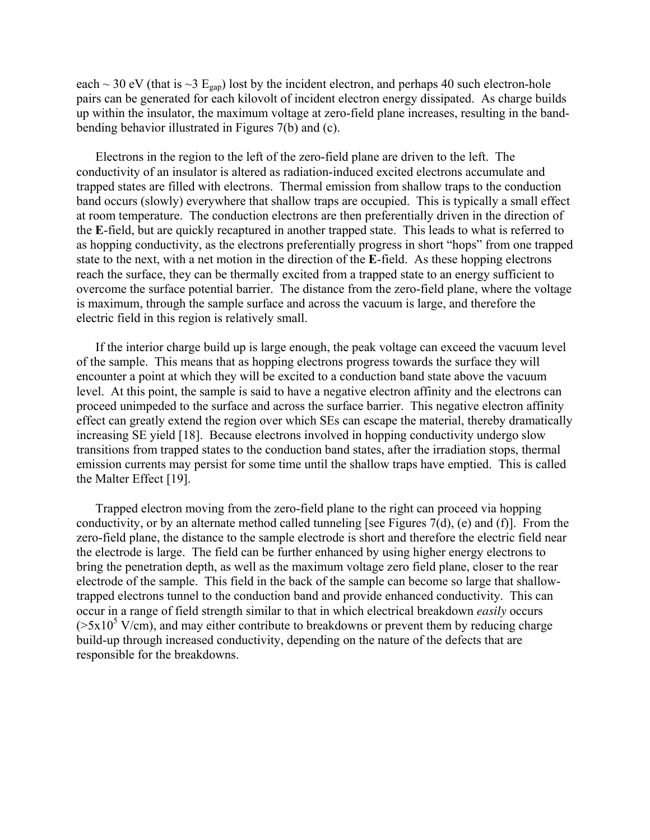each  $\sim$  30 eV (that is  $\sim$ 3 E<sub>gap</sub>) lost by the incident electron, and perhaps 40 such electron-hole pairs can be generated for each kilovolt of incident electron energy dissipated. As charge builds up within the insulator, the maximum voltage at zero-field plane increases, resulting in the bandbending behavior illustrated in Figures 7(b) and (c).

Electrons in the region to the left of the zero-field plane are driven to the left. The conductivity of an insulator is altered as radiation-induced excited electrons accumulate and trapped states are filled with electrons. Thermal emission from shallow traps to the conduction band occurs (slowly) everywhere that shallow traps are occupied. This is typically a small effect at room temperature. The conduction electrons are then preferentially driven in the direction of the **E**-field, but are quickly recaptured in another trapped state. This leads to what is referred to as hopping conductivity, as the electrons preferentially progress in short "hops" from one trapped state to the next, with a net motion in the direction of the **E**-field. As these hopping electrons reach the surface, they can be thermally excited from a trapped state to an energy sufficient to overcome the surface potential barrier. The distance from the zero-field plane, where the voltage is maximum, through the sample surface and across the vacuum is large, and therefore the electric field in this region is relatively small.

If the interior charge build up is large enough, the peak voltage can exceed the vacuum level of the sample. This means that as hopping electrons progress towards the surface they will encounter a point at which they will be excited to a conduction band state above the vacuum level. At this point, the sample is said to have a negative electron affinity and the electrons can proceed unimpeded to the surface and across the surface barrier. This negative electron affinity effect can greatly extend the region over which SEs can escape the material, thereby dramatically increasing SE yield [18]. Because electrons involved in hopping conductivity undergo slow transitions from trapped states to the conduction band states, after the irradiation stops, thermal emission currents may persist for some time until the shallow traps have emptied. This is called the Malter Effect [19].

Trapped electron moving from the zero-field plane to the right can proceed via hopping conductivity, or by an alternate method called tunneling [see Figures 7(d), (e) and (f)]. From the zero-field plane, the distance to the sample electrode is short and therefore the electric field near the electrode is large. The field can be further enhanced by using higher energy electrons to bring the penetration depth, as well as the maximum voltage zero field plane, closer to the rear electrode of the sample. This field in the back of the sample can become so large that shallowtrapped electrons tunnel to the conduction band and provide enhanced conductivity. This can occur in a range of field strength similar to that in which electrical breakdown *easily* occurs  $(5x10<sup>5</sup> V/cm)$ , and may either contribute to breakdowns or prevent them by reducing charge build-up through increased conductivity, depending on the nature of the defects that are responsible for the breakdowns.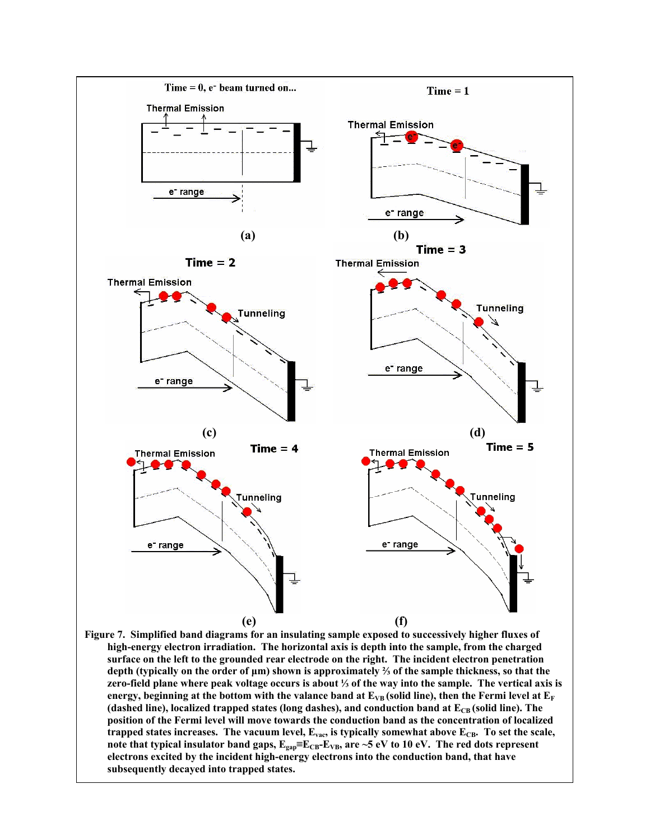

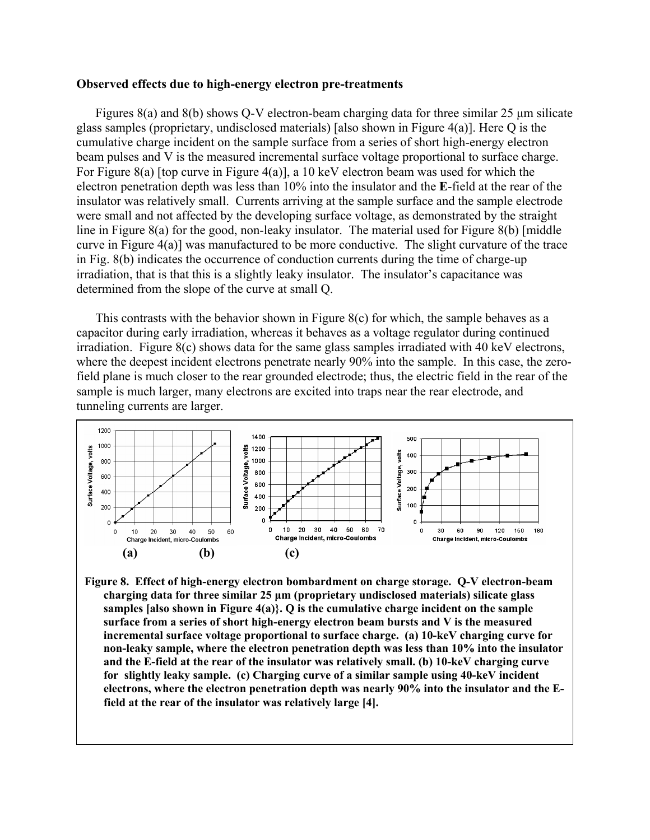#### **Observed effects due to high-energy electron pre-treatments**

Figures 8(a) and 8(b) shows Q-V electron-beam charging data for three similar 25  $\mu$ m silicate glass samples (proprietary, undisclosed materials) [also shown in Figure 4(a)]. Here Q is the cumulative charge incident on the sample surface from a series of short high-energy electron beam pulses and V is the measured incremental surface voltage proportional to surface charge. For Figure 8(a) [top curve in Figure 4(a)], a 10 keV electron beam was used for which the electron penetration depth was less than 10% into the insulator and the **E**-field at the rear of the insulator was relatively small. Currents arriving at the sample surface and the sample electrode were small and not affected by the developing surface voltage, as demonstrated by the straight line in Figure 8(a) for the good, non-leaky insulator. The material used for Figure 8(b) [middle curve in Figure 4(a)] was manufactured to be more conductive. The slight curvature of the trace in Fig. 8(b) indicates the occurrence of conduction currents during the time of charge-up irradiation, that is that this is a slightly leaky insulator. The insulator's capacitance was determined from the slope of the curve at small Q.

This contrasts with the behavior shown in Figure 8(c) for which, the sample behaves as a capacitor during early irradiation, whereas it behaves as a voltage regulator during continued irradiation. Figure 8(c) shows data for the same glass samples irradiated with 40 keV electrons, where the deepest incident electrons penetrate nearly 90% into the sample. In this case, the zerofield plane is much closer to the rear grounded electrode; thus, the electric field in the rear of the sample is much larger, many electrons are excited into traps near the rear electrode, and tunneling currents are larger.



**Figure 8. Effect of high-energy electron bombardment on charge storage. Q-V electron-beam charging data for three similar 25 µm (proprietary undisclosed materials) silicate glass samples [also shown in Figure 4(a)}. Q is the cumulative charge incident on the sample surface from a series of short high-energy electron beam bursts and V is the measured incremental surface voltage proportional to surface charge. (a) 10-keV charging curve for non-leaky sample, where the electron penetration depth was less than 10% into the insulator and the E-field at the rear of the insulator was relatively small. (b) 10-keV charging curve for slightly leaky sample. (c) Charging curve of a similar sample using 40-keV incident electrons, where the electron penetration depth was nearly 90% into the insulator and the Efield at the rear of the insulator was relatively large [4].**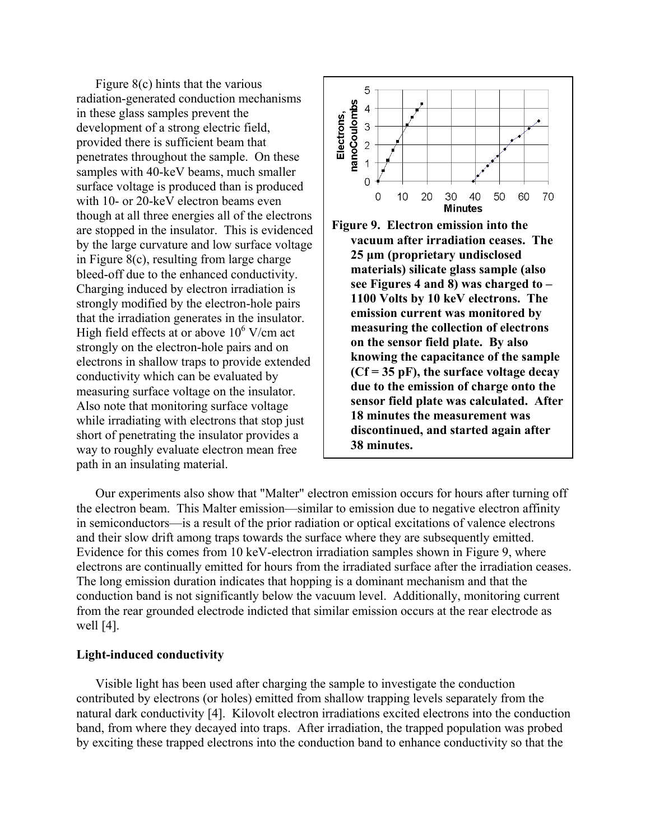Figure 8(c) hints that the various radiation-generated conduction mechanisms in these glass samples prevent the development of a strong electric field, provided there is sufficient beam that penetrates throughout the sample. On the se samples with 40-keV beams, much smal ler surface voltage is produced than is produced with 10- or 20-keV electron beams even though at all three energies all of the electrons are stopped in the insulator. This is evide nced by the large curvature and low surface voltag e in Figure 8(c), resulting from large charge bleed-off due to the enhanced conductivi ty. Charging induced by electron irradiation is strongly modified by the electron-hole pairs that the irradiation generates in the insulator . High field effects at or above  $10^6$  V/cm act strongly on the electron-hole pairs and on electrons in shallow traps to provid e extended conductivity which can be evaluated by measuring surface voltage on the insulator. Also note that monitoring surface voltage while irradiating with electrons that stop just short of penetrating the insulator provides a way to roughly evaluate electron mean free path in an insulating material.





Our experiments also show that "Malter" electron emission occurs for hours after turning off the electron beam. This Malter emission—similar to emission due to negative electron affinity in semiconductors—is a result of the prior radiation or optical excitations of valence electrons and their slow drift among traps towards the surface where they are subsequently emitted. Evidence for this comes from 10 keV-electron irradiation samples shown in Figure 9, where electrons are continually emitted for hours from the irradiated surface after the irradiation ceases. The long emission duration indicates that hopping is a dominant mechanism and that the conduction band is not significantly below the vacuum level. Additionally, monitoring current from the rear grounded electrode indicted that similar emission occurs at the rear electrode as well [4].

### **Light-induced conductivity**

Visible light has been used after charging the sample to investigate the conduction contributed by electrons (or holes) emitted from shallow trapping levels separately from the natural dark conductivity [4]. Kilovolt electron irradiations excited electrons into the conduction band, from where they decayed into traps. After irradiation, the trapped population was probed by exciting these trapped electrons into the conduction band to enhance conductivity so that the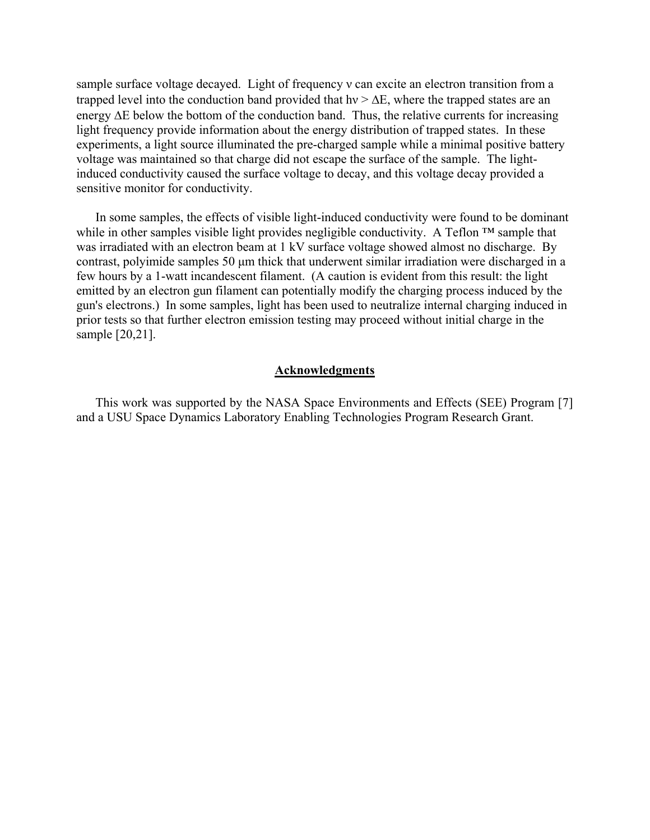sample surface voltage decayed. Light of frequency ν can excite an electron transition from a trapped level into the conduction band provided that hy  $> \Delta E$ , where the trapped states are an energy ∆E below the bottom of the conduction band. Thus, the relative currents for increasing light frequency provide information about the energy distribution of trapped states. In these experiments, a light source illuminated the pre-charged sample while a minimal positive battery voltage was maintained so that charge did not escape the surface of the sample. The lightinduced conductivity caused the surface voltage to decay, and this voltage decay provided a sensitive monitor for conductivity.

In some samples, the effects of visible light-induced conductivity were found to be dominant while in other samples visible light provides negligible conductivity. A Teflon ™ sample that was irradiated with an electron beam at 1 kV surface voltage showed almost no discharge. By contrast, polyimide samples 50 µm thick that underwent similar irradiation were discharged in a few hours by a 1-watt incandescent filament. (A caution is evident from this result: the light emitted by an electron gun filament can potentially modify the charging process induced by the gun's electrons.) In some samples, light has been used to neutralize internal charging induced in prior tests so that further electron emission testing may proceed without initial charge in the sample [20,21].

## **Acknowledgments**

This work was supported by the NASA Space Environments and Effects (SEE) Program [7] and a USU Space Dynamics Laboratory Enabling Technologies Program Research Grant.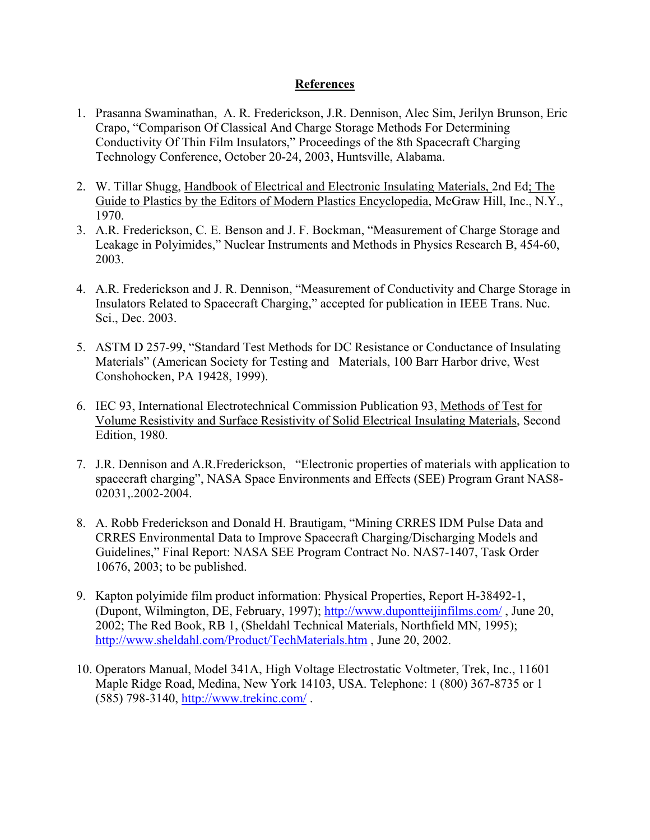# **References**

- 1. Prasanna Swaminathan, A. R. Frederickson, J.R. Dennison, Alec Sim, Jerilyn Brunson, Eric Crapo, "Comparison Of Classical And Charge Storage Methods For Determining Conductivity Of Thin Film Insulators," Proceedings of the 8th Spacecraft Charging Technology Conference, October 20-24, 2003, Huntsville, Alabama.
- 2. W. Tillar Shugg, Handbook of Electrical and Electronic Insulating Materials, 2nd Ed; The Guide to Plastics by the Editors of Modern Plastics Encyclopedia, McGraw Hill, Inc., N.Y., 1970.
- 3. A.R. Frederickson, C. E. Benson and J. F. Bockman, "Measurement of Charge Storage and Leakage in Polyimides," Nuclear Instruments and Methods in Physics Research B, 454-60, 2003.
- 4. A.R. Frederickson and J. R. Dennison, "Measurement of Conductivity and Charge Storage in Insulators Related to Spacecraft Charging," accepted for publication in IEEE Trans. Nuc. Sci., Dec. 2003.
- 5. ASTM D 257-99, "Standard Test Methods for DC Resistance or Conductance of Insulating Materials" (American Society for Testing and Materials, 100 Barr Harbor drive, West Conshohocken, PA 19428, 1999).
- 6. IEC 93, International Electrotechnical Commission Publication 93, Methods of Test for Volume Resistivity and Surface Resistivity of Solid Electrical Insulating Materials, Second Edition, 1980.
- 7. J.R. Dennison and A.R.Frederickson, "Electronic properties of materials with application to spacecraft charging", NASA Space Environments and Effects (SEE) Program Grant NAS8- 02031,.2002-2004.
- 8. A. Robb Frederickson and Donald H. Brautigam, "Mining CRRES IDM Pulse Data and CRRES Environmental Data to Improve Spacecraft Charging/Discharging Models and Guidelines," Final Report: NASA SEE Program Contract No. NAS7-1407, Task Order 10676, 2003; to be published.
- 9. Kapton polyimide film product information: Physical Properties, Report H-38492-1, (Dupont, Wilmington, DE, February, 1997); <http://www.dupontteijinfilms.com/>, June 20, 2002; The Red Book, RB 1, (Sheldahl Technical Materials, Northfield MN, 1995); <http://www.sheldahl.com/Product/TechMaterials.htm> , June 20, 2002.
- 10. Operators Manual, Model 341A, High Voltage Electrostatic Voltmeter, Trek, Inc., 11601 Maple Ridge Road, Medina, New York 14103, USA. Telephone: 1 (800) 367-8735 or 1 (585) 798-3140,<http://www.trekinc.com/>.